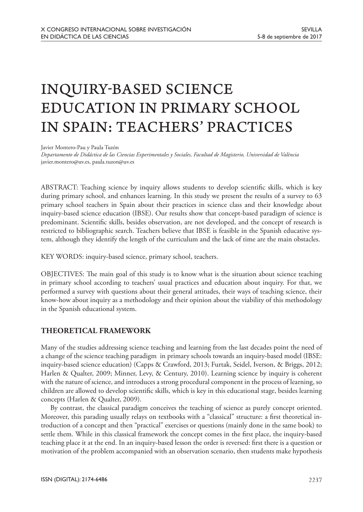# INQUIRY-BASED SCIENCE EDUCATION IN PRIMARY SCHOOL IN SPAIN: TEACHERS' PRACTICES

Javier Montero-Pau y Paula Tuzón

*Departamento de Didáctica de las Ciencias Experimentales y Sociales, Facultad de Magisterio, Universidad de València* javier.montero@uv.es, paula.tuzon@uv.es

ABSTRACT: Teaching science by inquiry allows students to develop scientific skills, which is key during primary school, and enhances learning. In this study we present the results of a survey to 63 primary school teachers in Spain about their practices in science class and their knowledge about inquiry-based science education (IBSE). Our results show that concept-based paradigm of science is predominant. Scientific skills, besides observation, are not developed, and the concept of research is restricted to bibliographic search. Teachers believe that IBSE is feasible in the Spanish educative system, although they identify the length of the curriculum and the lack of time are the main obstacles.

KEY WORDS: inquiry-based science, primary school, teachers.

OBJECTIVES: The main goal of this study is to know what is the situation about science teaching in primary school according to teachers' usual practices and education about inquiry. For that, we performed a survey with questions about their general attitudes, their ways of teaching science, their know-how about inquiry as a methodology and their opinion about the viability of this methodology in the Spanish educational system.

## **THEORETICAL FRAMEWORK**

Many of the studies addressing science teaching and learning from the last decades point the need of a change of the science teaching paradigm in primary schools towards an inquiry-based model (IBSE: inquiry-based science education) (Capps & Crawford, 2013; Furtak, Seidel, Iverson, & Briggs, 2012; Harlen & Qualter, 2009; Minner, Levy, & Century, 2010). Learning science by inquiry is coherent with the nature of science, and introduces a strong procedural component in the process of learning, so children are allowed to develop scientific skills, which is key in this educational stage, besides learning concepts (Harlen & Qualter, 2009).

By contrast, the classical paradigm conceives the teaching of science as purely concept oriented. Moreover, this parading usually relays on textbooks with a "classical" structure: a first theoretical introduction of a concept and then "practical" exercises or questions (mainly done in the same book) to settle them. While in this classical framework the concept comes in the first place, the inquiry-based teaching place it at the end. In an inquiry-based lesson the order is reversed: first there is a question or motivation of the problem accompanied with an observation scenario, then students make hypothesis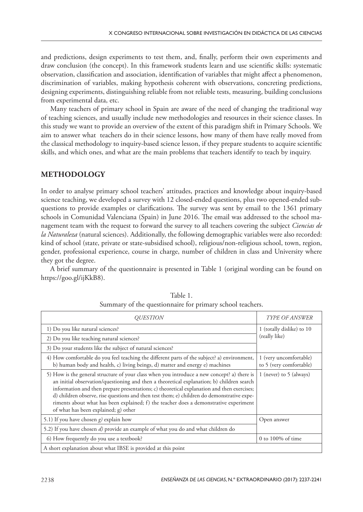and predictions, design experiments to test them, and, finally, perform their own experiments and draw conclusion (the concept). In this framework students learn and use scientific skills: systematic observation, classification and association, identification of variables that might affect a phenomenon, discrimination of variables, making hypothesis coherent with observations, concreting predictions, designing experiments, distinguishing reliable from not reliable tests, measuring, building conclusions from experimental data, etc.

Many teachers of primary school in Spain are aware of the need of changing the traditional way of teaching sciences, and usually include new methodologies and resources in their science classes. In this study we want to provide an overview of the extent of this paradigm shift in Primary Schools. We aim to answer what teachers do in their science lessons, how many of them have really moved from the classical methodology to inquiry-based science lesson, if they prepare students to acquire scientific skills, and which ones, and what are the main problems that teachers identify to teach by inquiry.

## **METHODOLOGY**

In order to analyse primary school teachers' attitudes, practices and knowledge about inquiry-based science teaching, we developed a survey with 12 closed-ended questions, plus two opened-ended subquestions to provide examples or clarifications. The survey was sent by email to the 1361 primary schools in Comunidad Valenciana (Spain) in June 2016. The email was addressed to the school management team with the request to forward the survey to all teachers covering the subject *Ciencias de la Naturaleza* (natural sciences). Additionally, the following demographic variables were also recorded: kind of school (state, private or state-subsidised school), religious/non-religious school, town, region, gender, professional experience, course in charge, number of children in class and University where they got the degree.

A brief summary of the questionnaire is presented in Table 1 (original wording can be found on https://goo.gl/ijKkB8).

| <i>OUESTION</i>                                                                                                                                                                                                                                                                                                                                                                                                                                                                                                       | <i>TYPE OF ANSWER</i>                             |
|-----------------------------------------------------------------------------------------------------------------------------------------------------------------------------------------------------------------------------------------------------------------------------------------------------------------------------------------------------------------------------------------------------------------------------------------------------------------------------------------------------------------------|---------------------------------------------------|
| 1) Do you like natural sciences?                                                                                                                                                                                                                                                                                                                                                                                                                                                                                      | 1 (totally dislike) to 10<br>(really like)        |
| 2) Do you like teaching natural sciences?                                                                                                                                                                                                                                                                                                                                                                                                                                                                             |                                                   |
| 3) Do your students like the subject of natural sciences?                                                                                                                                                                                                                                                                                                                                                                                                                                                             |                                                   |
| 4) How comfortable do you feel teaching the different parts of the subject? a) environment,<br>b) human body and health, c) living beings, d) matter and energy e) machines                                                                                                                                                                                                                                                                                                                                           | 1 (very uncomfortable)<br>to 5 (very comfortable) |
| 5) How is the general structure of your class when you introduce a new concept? a) there is<br>an initial observation/questioning and then a theoretical explanation; b) children search<br>information and then prepare presentations; c) theoretical explanation and then exercises;<br>d) children observe, rise questions and then test them; e) children do demonstrative expe-<br>riments about what has been explained; f) the teacher does a demonstrative experiment<br>of what has been explained; g) other | 1 (never) to 5 (always)                           |
| 5.1) If you have chosen $g$ explain how                                                                                                                                                                                                                                                                                                                                                                                                                                                                               | Open answer                                       |
| 5.2) If you have chosen d) provide an example of what you do and what children do                                                                                                                                                                                                                                                                                                                                                                                                                                     |                                                   |
| 6) How frequently do you use a textbook?                                                                                                                                                                                                                                                                                                                                                                                                                                                                              | 0 to $100\%$ of time                              |
| A short explanation about what IBSE is provided at this point                                                                                                                                                                                                                                                                                                                                                                                                                                                         |                                                   |

Table 1. Summary of the questionnaire for primary school teachers.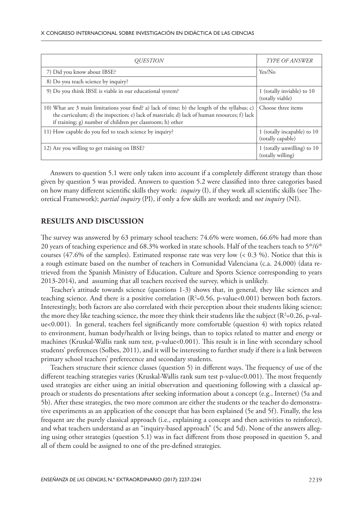| <i>OUESTION</i>                                                                                                                                                                                                                                             | <b>TYPE OF ANSWER</b>                            |
|-------------------------------------------------------------------------------------------------------------------------------------------------------------------------------------------------------------------------------------------------------------|--------------------------------------------------|
| 7) Did you know about IBSE?                                                                                                                                                                                                                                 | Yes/No                                           |
| 8) Do you teach science by inquiry?                                                                                                                                                                                                                         |                                                  |
| 9) Do you think IBSE is viable in our educational system?                                                                                                                                                                                                   | 1 (totally inviable) to 10<br>(totally viable)   |
| 10) What are 3 main limitations your find? a) lack of time; b) the length of the syllabus; c)<br>the curriculum; d) the inspection; e) lack of materials; d) lack of human resources; f) lack<br>if training; g) number of children per classroom; h) other | Choose three items                               |
| 11) How capable do you feel to teach science by inquiry?                                                                                                                                                                                                    | 1 (totally incapable) to 10<br>(totally capable) |
| 12) Are you willing to get training on IBSE?                                                                                                                                                                                                                | 1 (totally unwilling) to 10<br>(totally willing) |

Answers to question 5.1 were only taken into account if a completely different strategy than those given by question 5 was provided. Answers to question 5.2 were classified into three categories based on how many different scientific skills they work: *inquiry* (I), if they work all scientific skills (see Theoretical Framework); *partial inquiry* (PI), if only a few skills are worked; and *not inquiry* (NI).

#### **RESULTS AND DISCUSSION**

The survey was answered by 63 primary school teachers: 74.6% were women, 66.6% had more than 20 years of teaching experience and 68.3% worked in state schools. Half of the teachers teach to  $5<sup>th</sup>/6<sup>th</sup>$ courses (47.6% of the samples). Estimated response rate was very low (< 0.3 %). Notice that this is a rough estimate based on the number of teachers in Comunidad Valenciana (c.a. 24,000) (data retrieved from the Spanish Ministry of Education, Culture and Sports Science corresponding to years 2013-2014), and assuming that all teachers received the survey, which is unlikely.

Teacher's attitude towards science (questions 1-3) shows that, in general, they like sciences and teaching science. And there is a positive correlation ( $R^2=0.56$ , p-value<0.001) between both factors. Interestingly, both factors are also correlated with their perception about their students liking science; the more they like teaching science, the more they think their students like the subject (R²=0.26, p-value<0.001). In general, teachers feel significantly more comfortable (question 4) with topics related to environment, human body/health or living beings, than to topics related to matter and energy or machines (Kruskal-Wallis rank sum test, p-value<0.001). This result is in line with secondary school students' preferences (Solbes, 2011), and it will be interesting to further study if there is a link between primary school teachers' preferecence and secondary students.

Teachers structure their science classes (question 5) in different ways. The frequency of use of the different teaching strategies varies (Kruskal-Wallis rank sum test p-value<0.001). The most frequently used strategies are either using an initial observation and questioning following with a classical approach or students do presentations after seeking information about a concept (e.g., Internet) (5a and 5b). After these strategies, the two more common are either the students or the teacher do demonstrative experiments as an application of the concept that has been explained (5e and 5f). Finally, the less frequent are the purely classical approach (i.e., explaining a concept and then activities to reinforce), and what teachers understand as an "inquiry-based approach" (5c and 5d). None of the answers alleging using other strategies (question 5.1) was in fact different from those proposed in question 5, and all of them could be assigned to one of the pre-defined strategies.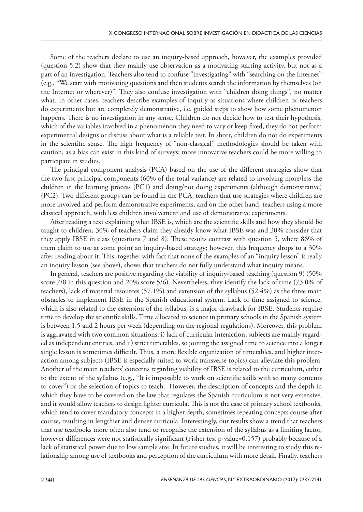Some of the teachers declare to use an inquiry-based approach, however, the examples provided (question 5.2) show that they mainly use observation as a motivating starting activity, but not as a part of an investigation. Teachers also tend to confuse "investigating" with "searching on the Internet" (e.g., "We start with motivating questions and then students search the information by themselves (on the Internet or wherever)". They also confuse investigation with "children doing things", no matter what. In other cases, teachers describe examples of inquiry as situations where children or teachers do experiments but are completely demonstrative, i.e. guided steps to show how some phenomenon happens. There is no investigation in any sense. Children do not decide how to test their hypothesis, which of the variables involved in a phenomenon they need to vary or keep fixed, they do not perform experimental designs or discuss about what is a reliable test. In short, children do not do experiments in the scientific sense. The high frequency of "non-classical" methodologies should be taken with caution, as a bias can exist in this kind of surveys; more innovative teachers could be more willing to participate in studies.

The principal component analysis (PCA) based on the use of the different strategies show that the two first principal components (60% of the total variance) are related to involving more/less the children in the learning process (PC1) and doing/not doing experiments (although demonstrative) (PC2). Two different groups can be found in the PCA, teachers that use strategies where children are more involved and perform demonstrative experiments, and on the other hand, teachers using a more classical approach, with less children involvement and use of demonstrative experiments.

After reading a text explaining what IBSE is, which are the scientific skills and how they should be taught to children, 30% of teachers claim they already know what IBSE was and 30% consider that they apply IBSE in class (questions 7 and 8). These results contrast with question 5, where 86% of them claim to use at some point an inquiry-based strategy; however, this frequency drops to a 30% after reading about it. This, together with fact that none of the examples of an "inquiry lesson" is really an inquiry lesson (see above), shows that teachers do not fully understand what inquiry means.

In general, teachers are positive regarding the viability of inquiry-based teaching (question 9) (50% score 7/8 in this question and 20% score 5/6). Nevertheless, they identify the lack of time (73.0% of teachers), lack of material resources (57.1%) and extension of the syllabus (52.4%) as the three main obstacles to implement IBSE in the Spanish educational system. Lack of time assigned to science, which is also related to the extension of the syllabus, is a major drawback for IBSE. Students require time to develop the scientific skills. Time allocated to science in primary schools in the Spanish system is between 1.5 and 2 hours per week (depending on the regional regulations). Moreover, this problem is aggravated with two common situations: i) lack of curricular interaction, subjects are mainly regarded as independent entities, and ii) strict timetables, so joining the assigned time to science into a longer single lesson is sometimes difficult. Thus, a more flexible organization of timetables, and higher interaction among subjects (IBSE is especially suited to work transverse topics) can alleviate this problem. Another of the main teachers' concerns regarding viability of IBSE is related to the curriculum, either to the extent of the syllabus (e.g., "It is impossible to work on scientific skills with so many contents to cover") or the selection of topics to teach. However, the description of concepts and the depth in which they have to be covered on the law that regulates the Spanish curriculum is not very extensive, and it would allow teachers to design lighter curricula. This is not the case of primary school textbooks, which tend to cover mandatory concepts in a higher depth, sometimes repeating concepts course after course, resulting in lengthier and denser curricula. Interestingly, our results show a trend that teachers that use textbooks more often also tend to recognise the extension of the syllabus as a limiting factor, however differences were not statistically significant (Fisher test p-value=0.157) probably because of a lack of statistical power due to low sample size. In future studies, it will be interesting to study this relationship among use of textbooks and perception of the curriculum with more detail. Finally, teachers